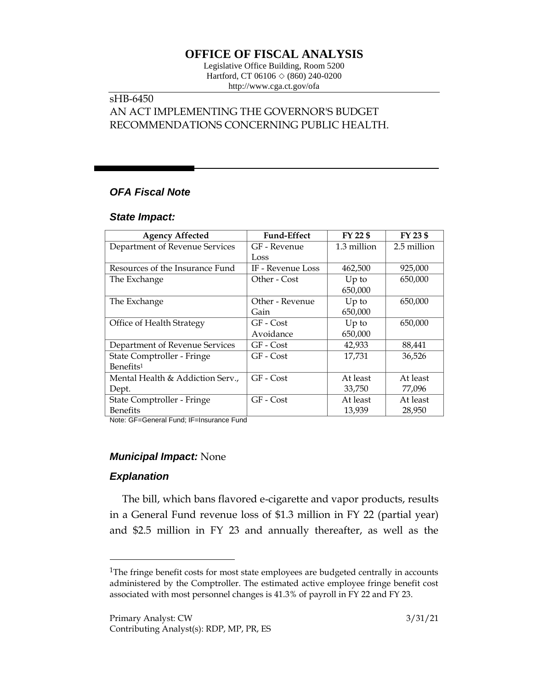# **OFFICE OF FISCAL ANALYSIS**

Legislative Office Building, Room 5200 Hartford, CT 06106  $\Diamond$  (860) 240-0200 http://www.cga.ct.gov/ofa

## sHB-6450 AN ACT IMPLEMENTING THE GOVERNOR'S BUDGET RECOMMENDATIONS CONCERNING PUBLIC HEALTH.

## *OFA Fiscal Note*

#### *State Impact:*

| <b>Agency Affected</b>           | <b>Fund-Effect</b> | FY 22 \$    | FY 23 \$    |
|----------------------------------|--------------------|-------------|-------------|
| Department of Revenue Services   | GF - Revenue       | 1.3 million | 2.5 million |
|                                  | Loss               |             |             |
| Resources of the Insurance Fund  | IF - Revenue Loss  | 462,500     | 925,000     |
| The Exchange                     | Other - Cost       | $Up$ to     | 650,000     |
|                                  |                    | 650,000     |             |
| The Exchange                     | Other - Revenue    | $Up$ to     | 650,000     |
|                                  | Gain               | 650,000     |             |
| Office of Health Strategy        | GF - Cost          | $Up$ to     | 650,000     |
|                                  | Avoidance          | 650,000     |             |
| Department of Revenue Services   | GF - Cost          | 42,933      | 88,441      |
| State Comptroller - Fringe       | GF - Cost          | 17,731      | 36,526      |
| Benefits <sup>1</sup>            |                    |             |             |
| Mental Health & Addiction Serv., | GF - Cost          | At least    | At least    |
| Dept.                            |                    | 33,750      | 77,096      |
| State Comptroller - Fringe       | GF - Cost          | At least    | At least    |
| <b>Benefits</b>                  |                    | 13,939      | 28,950      |

Note: GF=General Fund; IF=Insurance Fund

#### *Municipal Impact:* None

### *Explanation*

 $\overline{a}$ 

The bill, which bans flavored e-cigarette and vapor products, results in a General Fund revenue loss of \$1.3 million in FY 22 (partial year) and \$2.5 million in FY 23 and annually thereafter, as well as the

<sup>&</sup>lt;sup>1</sup>The fringe benefit costs for most state employees are budgeted centrally in accounts administered by the Comptroller. The estimated active employee fringe benefit cost associated with most personnel changes is 41.3% of payroll in FY 22 and FY 23.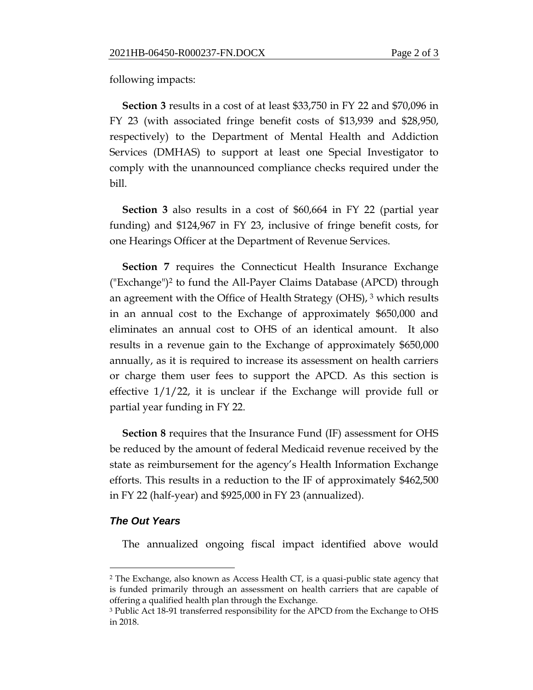following impacts:

**Section 3** results in a cost of at least \$33,750 in FY 22 and \$70,096 in FY 23 (with associated fringe benefit costs of \$13,939 and \$28,950, respectively) to the Department of Mental Health and Addiction Services (DMHAS) to support at least one Special Investigator to comply with the unannounced compliance checks required under the bill.

**Section 3** also results in a cost of \$60,664 in FY 22 (partial year funding) and \$124,967 in FY 23, inclusive of fringe benefit costs, for one Hearings Officer at the Department of Revenue Services.

**Section 7** requires the Connecticut Health Insurance Exchange ("Exchange")<sup>2</sup> to fund the All-Payer Claims Database (APCD) through an agreement with the Office of Health Strategy (OHS),  $3$  which results in an annual cost to the Exchange of approximately \$650,000 and eliminates an annual cost to OHS of an identical amount. It also results in a revenue gain to the Exchange of approximately \$650,000 annually, as it is required to increase its assessment on health carriers or charge them user fees to support the APCD. As this section is effective 1/1/22, it is unclear if the Exchange will provide full or partial year funding in FY 22.

**Section 8** requires that the Insurance Fund (IF) assessment for OHS be reduced by the amount of federal Medicaid revenue received by the state as reimbursement for the agency's Health Information Exchange efforts. This results in a reduction to the IF of approximately \$462,500 in FY 22 (half-year) and \$925,000 in FY 23 (annualized).

#### *The Out Years*

 $\overline{a}$ 

The annualized ongoing fiscal impact identified above would

<sup>2</sup> The Exchange, also known as Access Health CT, is a quasi-public state agency that is funded primarily through an assessment on health carriers that are capable of offering a qualified health plan through the Exchange.

<sup>3</sup> Public Act 18-91 transferred responsibility for the APCD from the Exchange to OHS in 2018.